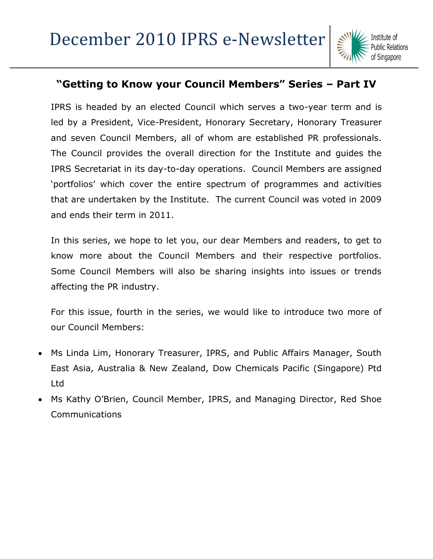

### **"Getting to Know your Council Members" Series – Part IV**

IPRS is headed by an elected Council which serves a two-year term and is led by a President, Vice-President, Honorary Secretary, Honorary Treasurer and seven Council Members, all of whom are established PR professionals. The Council provides the overall direction for the Institute and guides the IPRS Secretariat in its day-to-day operations. Council Members are assigned "portfolios" which cover the entire spectrum of programmes and activities that are undertaken by the Institute. The current Council was voted in 2009 and ends their term in 2011.

In this series, we hope to let you, our dear Members and readers, to get to know more about the Council Members and their respective portfolios. Some Council Members will also be sharing insights into issues or trends affecting the PR industry.

For this issue, fourth in the series, we would like to introduce two more of our Council Members:

- [Ms Linda Lim, Honorary Treasurer, IPRS, and Public Affairs Manager, South](http://www.iprs.org.sg/Web/main.aspx?ID=,dc6590cb-4654-4c66-924f-3487c639b357)  [East Asia, Australia & New Zealand, Dow Chemicals Pacific \(Singapore\) Ptd](http://www.iprs.org.sg/Web/main.aspx?ID=,dc6590cb-4654-4c66-924f-3487c639b357)  [Ltd](http://www.iprs.org.sg/Web/main.aspx?ID=,dc6590cb-4654-4c66-924f-3487c639b357)
- [Ms Kathy O"Brien, Council Member, IPRS, and Managing Director, Red Shoe](http://www.iprs.org.sg/Web/main.aspx?ID=,8a1363b4-96ee-49ba-b1ea-642651c73147)  [Communications](http://www.iprs.org.sg/Web/main.aspx?ID=,8a1363b4-96ee-49ba-b1ea-642651c73147)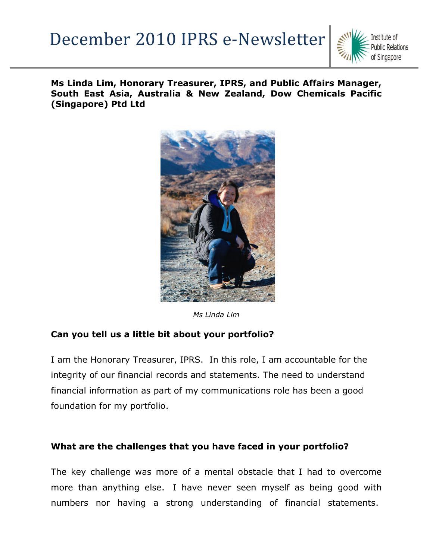

**Ms Linda Lim, Honorary Treasurer, IPRS, and Public Affairs Manager, South East Asia, Australia & New Zealand, Dow Chemicals Pacific (Singapore) Ptd Ltd**



*Ms Linda Lim*

### **Can you tell us a little bit about your portfolio?**

I am the Honorary Treasurer, IPRS. In this role, I am accountable for the integrity of our financial records and statements. The need to understand financial information as part of my communications role has been a good foundation for my portfolio.

#### **What are the challenges that you have faced in your portfolio?**

The key challenge was more of a mental obstacle that I had to overcome more than anything else. I have never seen myself as being good with numbers nor having a strong understanding of financial statements.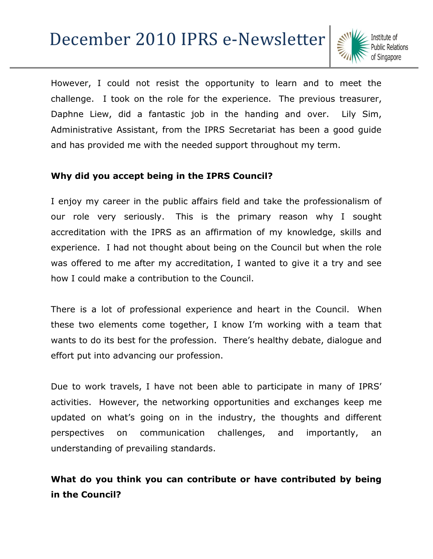

However, I could not resist the opportunity to learn and to meet the challenge. I took on the role for the experience. The previous treasurer, Daphne Liew, did a fantastic job in the handing and over. Lily Sim, Administrative Assistant, from the IPRS Secretariat has been a good guide and has provided me with the needed support throughout my term.

### **Why did you accept being in the IPRS Council?**

I enjoy my career in the public affairs field and take the professionalism of our role very seriously. This is the primary reason why I sought accreditation with the IPRS as an affirmation of my knowledge, skills and experience. I had not thought about being on the Council but when the role was offered to me after my accreditation, I wanted to give it a try and see how I could make a contribution to the Council.

There is a lot of professional experience and heart in the Council. When these two elements come together, I know I"m working with a team that wants to do its best for the profession. There's healthy debate, dialogue and effort put into advancing our profession.

Due to work travels, I have not been able to participate in many of IPRS" activities. However, the networking opportunities and exchanges keep me updated on what"s going on in the industry, the thoughts and different perspectives on communication challenges, and importantly, an understanding of prevailing standards.

### **What do you think you can contribute or have contributed by being in the Council?**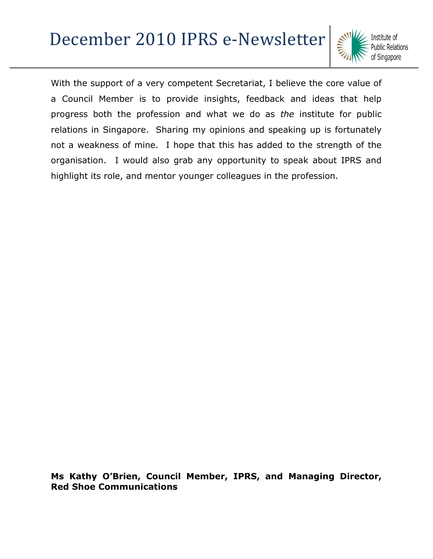With the support of a very competent Secretariat, I believe the core value of a Council Member is to provide insights, feedback and ideas that help progress both the profession and what we do as *the* institute for public relations in Singapore. Sharing my opinions and speaking up is fortunately not a weakness of mine. I hope that this has added to the strength of the organisation. I would also grab any opportunity to speak about IPRS and highlight its role, and mentor younger colleagues in the profession.

**Ms Kathy O'Brien, Council Member, IPRS, and Managing Director, Red Shoe Communications**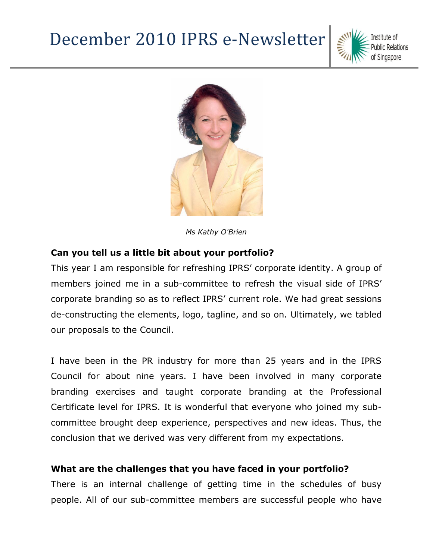



*Ms Kathy O'Brien*

#### **Can you tell us a little bit about your portfolio?**

This year I am responsible for refreshing IPRS" corporate identity. A group of members joined me in a sub-committee to refresh the visual side of IPRS" corporate branding so as to reflect IPRS" current role. We had great sessions de-constructing the elements, logo, tagline, and so on. Ultimately, we tabled our proposals to the Council.

I have been in the PR industry for more than 25 years and in the IPRS Council for about nine years. I have been involved in many corporate branding exercises and taught corporate branding at the Professional Certificate level for IPRS. It is wonderful that everyone who joined my subcommittee brought deep experience, perspectives and new ideas. Thus, the conclusion that we derived was very different from my expectations.

#### **What are the challenges that you have faced in your portfolio?**

There is an internal challenge of getting time in the schedules of busy people. All of our sub-committee members are successful people who have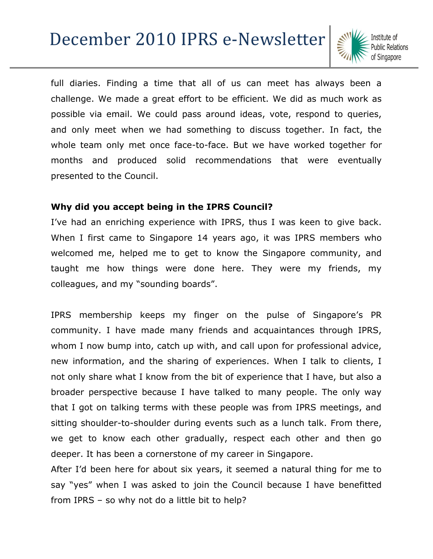full diaries. Finding a time that all of us can meet has always been a challenge. We made a great effort to be efficient. We did as much work as possible via email. We could pass around ideas, vote, respond to queries, and only meet when we had something to discuss together. In fact, the whole team only met once face-to-face. But we have worked together for months and produced solid recommendations that were eventually presented to the Council.

#### **Why did you accept being in the IPRS Council?**

I've had an enriching experience with IPRS, thus I was keen to give back. When I first came to Singapore 14 years ago, it was IPRS members who welcomed me, helped me to get to know the Singapore community, and taught me how things were done here. They were my friends, my colleagues, and my "sounding boards".

IPRS membership keeps my finger on the pulse of Singapore's PR community. I have made many friends and acquaintances through IPRS, whom I now bump into, catch up with, and call upon for professional advice, new information, and the sharing of experiences. When I talk to clients, I not only share what I know from the bit of experience that I have, but also a broader perspective because I have talked to many people. The only way that I got on talking terms with these people was from IPRS meetings, and sitting shoulder-to-shoulder during events such as a lunch talk. From there, we get to know each other gradually, respect each other and then go deeper. It has been a cornerstone of my career in Singapore.

After I'd been here for about six years, it seemed a natural thing for me to say "yes" when I was asked to join the Council because I have benefitted from IPRS – so why not do a little bit to help?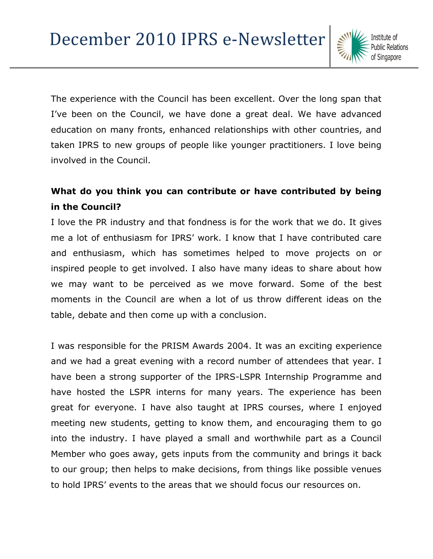The experience with the Council has been excellent. Over the long span that I've been on the Council, we have done a great deal. We have advanced education on many fronts, enhanced relationships with other countries, and taken IPRS to new groups of people like younger practitioners. I love being involved in the Council.

### **What do you think you can contribute or have contributed by being in the Council?**

I love the PR industry and that fondness is for the work that we do. It gives me a lot of enthusiasm for IPRS" work. I know that I have contributed care and enthusiasm, which has sometimes helped to move projects on or inspired people to get involved. I also have many ideas to share about how we may want to be perceived as we move forward. Some of the best moments in the Council are when a lot of us throw different ideas on the table, debate and then come up with a conclusion.

I was responsible for the PRISM Awards 2004. It was an exciting experience and we had a great evening with a record number of attendees that year. I have been a strong supporter of the IPRS-LSPR Internship Programme and have hosted the LSPR interns for many years. The experience has been great for everyone. I have also taught at IPRS courses, where I enjoyed meeting new students, getting to know them, and encouraging them to go into the industry. I have played a small and worthwhile part as a Council Member who goes away, gets inputs from the community and brings it back to our group; then helps to make decisions, from things like possible venues to hold IPRS" events to the areas that we should focus our resources on.